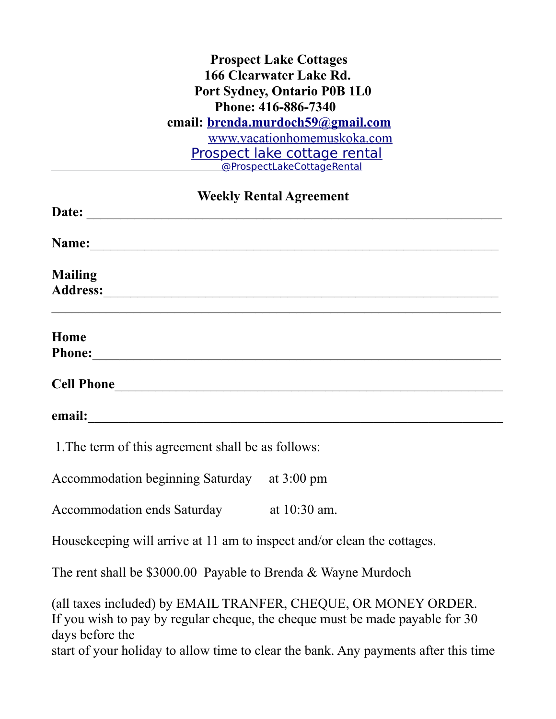## **Prospect Lake Cottages 166 Clearwater Lake Rd. Port Sydney, Ontario P0B 1L0 Phone: 416-886-7340 email: [brenda.murdoch59@gmail.com](mailto:brenda.murdoch59@gmail.com)** [www.vacationhomemuskoka.com](http://www.vacationhomemuskoka.com/) [Prospect lake cottage rental](https://www.facebook.com/ProspectLakeCottageRental/) [@ProspectLakeCottageRental](https://www.facebook.com/ProspectLakeCottageRental/)

 **Weekly Rental Agreement Date:** \_\_\_\_\_\_\_\_\_\_\_\_\_\_\_\_\_\_\_\_\_\_\_\_\_\_\_\_\_\_\_\_\_\_\_\_\_\_\_\_\_\_\_\_\_\_\_\_\_\_\_\_\_\_\_\_\_\_\_\_\_ **Name:**  $\qquad \qquad$ **Mailing**  Address:  $\mathcal{L}_\text{max} = \mathcal{L}_\text{max} = \mathcal{L}_\text{max} = \mathcal{L}_\text{max} = \mathcal{L}_\text{max} = \mathcal{L}_\text{max} = \mathcal{L}_\text{max} = \mathcal{L}_\text{max} = \mathcal{L}_\text{max} = \mathcal{L}_\text{max} = \mathcal{L}_\text{max} = \mathcal{L}_\text{max} = \mathcal{L}_\text{max} = \mathcal{L}_\text{max} = \mathcal{L}_\text{max} = \mathcal{L}_\text{max} = \mathcal{L}_\text{max} = \mathcal{L}_\text{max} = \mathcal{$ **Home Phone:**\_\_\_\_\_\_\_\_\_\_\_\_\_\_\_\_\_\_\_\_\_\_\_\_\_\_\_\_\_\_\_\_\_\_\_\_\_\_\_\_\_\_\_\_\_\_\_\_\_\_\_\_\_\_\_\_\_\_\_\_ **Cell Phone**\_\_\_\_\_\_\_\_\_\_\_\_\_\_\_\_\_\_\_\_\_\_\_\_\_\_\_\_\_\_\_\_\_\_\_\_\_\_\_\_\_\_\_\_\_\_\_\_\_\_\_\_\_\_\_\_\_ **email:**  $\blacksquare$ 1.The term of this agreement shall be as follows:

Accommodation beginning Saturday at 3:00 pm

Accommodation ends Saturday at 10:30 am.

Housekeeping will arrive at 11 am to inspect and/or clean the cottages.

The rent shall be \$3000.00 Payable to Brenda & Wayne Murdoch

(all taxes included) by EMAIL TRANFER, CHEQUE, OR MONEY ORDER. If you wish to pay by regular cheque, the cheque must be made payable for 30 days before the start of your holiday to allow time to clear the bank. Any payments after this time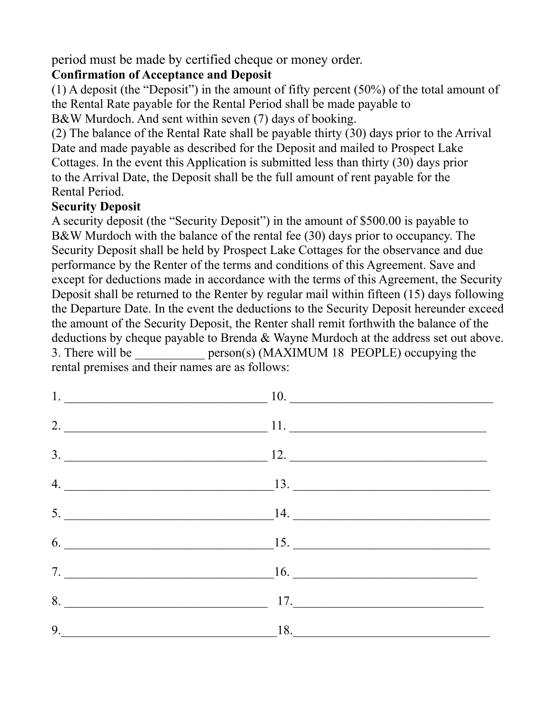period must be made by certified cheque or money order.

## **Confirmation of Acceptance and Deposit**

(1) A deposit (the "Deposit") in the amount of fifty percent (50%) of the total amount of the Rental Rate payable for the Rental Period shall be made payable to

B&W Murdoch. And sent within seven (7) days of booking.

(2) The balance of the Rental Rate shall be payable thirty (30) days prior to the Arrival Date and made payable as described for the Deposit and mailed to Prospect Lake Cottages. In the event this Application is submitted less than thirty (30) days prior to the Arrival Date, the Deposit shall be the full amount of rent payable for the Rental Period.

## **Security Deposit**

A security deposit (the "Security Deposit") in the amount of \$500.00 is payable to B&W Murdoch with the balance of the rental fee (30) days prior to occupancy. The Security Deposit shall be held by Prospect Lake Cottages for the observance and due performance by the Renter of the terms and conditions of this Agreement. Save and except for deductions made in accordance with the terms of this Agreement, the Security Deposit shall be returned to the Renter by regular mail within fifteen (15) days following the Departure Date. In the event the deductions to the Security Deposit hereunder exceed the amount of the Security Deposit, the Renter shall remit forthwith the balance of the deductions by cheque payable to Brenda & Wayne Murdoch at the address set out above. 3. There will be \_\_\_\_\_\_\_\_\_\_\_ person(s) (MAXIMUM 18 PEOPLE) occupying the rental premises and their names are as follows:

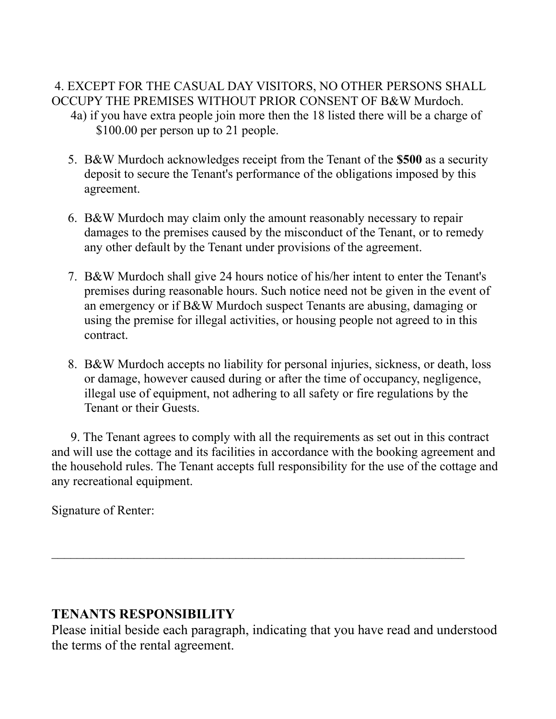#### 4. EXCEPT FOR THE CASUAL DAY VISITORS, NO OTHER PERSONS SHALL OCCUPY THE PREMISES WITHOUT PRIOR CONSENT OF B&W Murdoch. 4a) if you have extra people join more then the 18 listed there will be a charge of \$100.00 per person up to 21 people.

- 5. B&W Murdoch acknowledges receipt from the Tenant of the **\$500** as a security deposit to secure the Tenant's performance of the obligations imposed by this agreement.
- 6. B&W Murdoch may claim only the amount reasonably necessary to repair damages to the premises caused by the misconduct of the Tenant, or to remedy any other default by the Tenant under provisions of the agreement.
- 7. B&W Murdoch shall give 24 hours notice of his/her intent to enter the Tenant's premises during reasonable hours. Such notice need not be given in the event of an emergency or if B&W Murdoch suspect Tenants are abusing, damaging or using the premise for illegal activities, or housing people not agreed to in this contract.
- 8. B&W Murdoch accepts no liability for personal injuries, sickness, or death, loss or damage, however caused during or after the time of occupancy, negligence, illegal use of equipment, not adhering to all safety or fire regulations by the Tenant or their Guests.

 9. The Tenant agrees to comply with all the requirements as set out in this contract and will use the cottage and its facilities in accordance with the booking agreement and the household rules. The Tenant accepts full responsibility for the use of the cottage and any recreational equipment.

Signature of Renter:

## **TENANTS RESPONSIBILITY**

Please initial beside each paragraph, indicating that you have read and understood the terms of the rental agreement.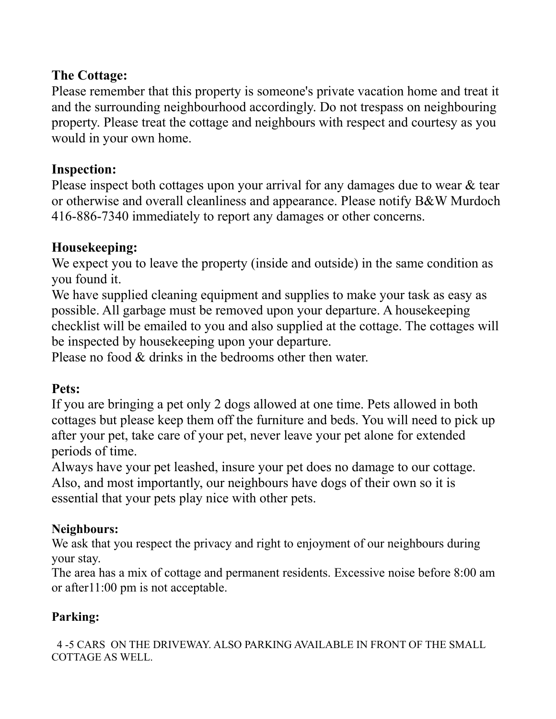# **The Cottage:**

Please remember that this property is someone's private vacation home and treat it and the surrounding neighbourhood accordingly. Do not trespass on neighbouring property. Please treat the cottage and neighbours with respect and courtesy as you would in your own home.

# **Inspection:**

Please inspect both cottages upon your arrival for any damages due to wear & tear or otherwise and overall cleanliness and appearance. Please notify B&W Murdoch 416-886-7340 immediately to report any damages or other concerns.

# **Housekeeping:**

We expect you to leave the property (inside and outside) in the same condition as you found it.

We have supplied cleaning equipment and supplies to make your task as easy as possible. All garbage must be removed upon your departure. A housekeeping checklist will be emailed to you and also supplied at the cottage. The cottages will be inspected by housekeeping upon your departure.

Please no food & drinks in the bedrooms other then water.

# **Pets:**

If you are bringing a pet only 2 dogs allowed at one time. Pets allowed in both cottages but please keep them off the furniture and beds. You will need to pick up after your pet, take care of your pet, never leave your pet alone for extended periods of time.

Always have your pet leashed, insure your pet does no damage to our cottage. Also, and most importantly, our neighbours have dogs of their own so it is essential that your pets play nice with other pets.

# **Neighbours:**

We ask that you respect the privacy and right to enjoyment of our neighbours during your stay.

The area has a mix of cottage and permanent residents. Excessive noise before 8:00 am or after11:00 pm is not acceptable.

# **Parking:**

 4 -5 CARS ON THE DRIVEWAY. ALSO PARKING AVAILABLE IN FRONT OF THE SMALL COTTAGE AS WELL.